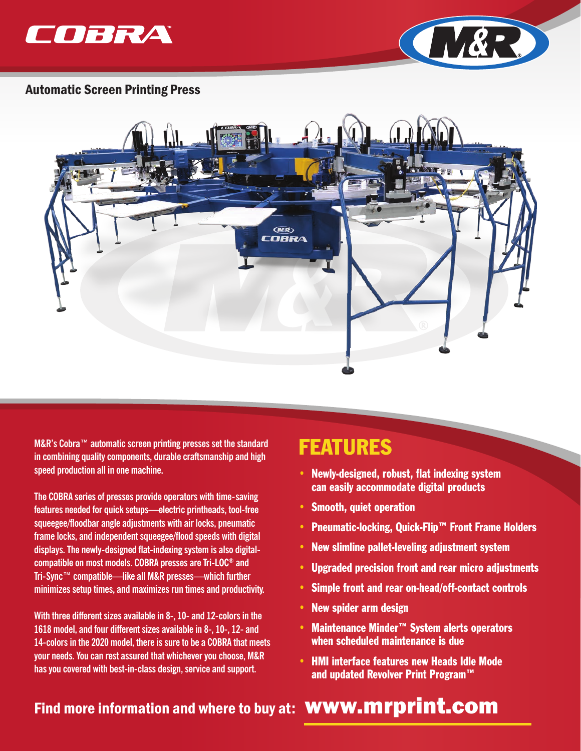



#### Automatic Screen Printing Press



**M&R's Cobra™ automatic screen printing presses set the standard in combining quality components, durable craftsmanship and high speed production all in one machine.** 

**The COBRA series of presses provide operators with time-saving features needed for quick setups—electric printheads, tool-free squeegee/floodbar angle adjustments with air locks, pneumatic frame locks, and independent squeegee/flood speeds with digital displays. The newly-designed flat-indexing system is also digitalcompatible on most models. COBRA presses are Tri-LOC® and Tri-Sync™ compatible—like all M&R presses—which further minimizes setup times, and maximizes run times and productivity.** 

**With three different sizes available in 8-, 10- and 12-colors in the 1618 model, and four different sizes available in 8-, 10-, 12- and 14-colors in the 2020 model, there is sure to be a COBRA that meets your needs. You can rest assured that whichever you choose, M&R has you covered with best-in-class design, service and support.** 

## FEATURES

- Newly-designed, robust, flat indexing system can easily accommodate digital products
- Smooth, quiet operation
- Pneumatic-locking, Quick-Flip™ Front Frame Holders
- New slimline pallet-leveling adjustment system
- Upgraded precision front and rear micro adjustments
- Simple front and rear on-head/off-contact controls
- New spider arm design
- Maintenance Minder™ System alerts operators when scheduled maintenance is due
- HMI interface features new Heads Idle Mode and updated Revolver Print Program™

## Find more information and where to buy at: **WWW.mrprint.com**